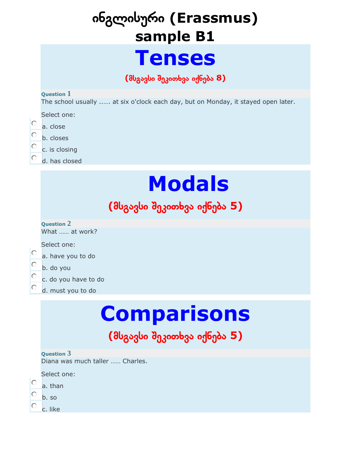## ინგლისური **(Erassmus) sample B1**

## **Tenses**

**(**მსგავსი შეკითხვა იქნება **8)**

#### **Question 1**

The school usually ..…. at six o'clock each day, but on Monday, it stayed open later.

Select one:

- O a. close
- О b. closes

О

- c. is closing
	- d. has closed

# **Modals**

## **(**მსგავსი შეკითხვა იქნება **5)**

**Question 2**

What …… at work?

Select one:

- О a. have you to do
- О. b. do you
- O c. do you have to do
- d. must you to do

# **Comparisons**

## **(**მსგავსი შეკითხვა იქნება **5)**

#### **Question 3**

Diana was much taller …… Charles.

Select one:

- C a. than
- b. so
- c. like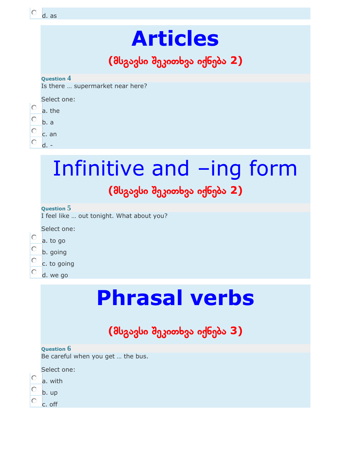| Ω                                                                                                       | d. as  |  |  |  |  |
|---------------------------------------------------------------------------------------------------------|--------|--|--|--|--|
| <b>Articles</b><br>(მსგავსი შეკითხვა იქნება 2)<br><b>Question 4</b><br>Is there  supermarket near here? |        |  |  |  |  |
|                                                                                                         |        |  |  |  |  |
| $\circ$                                                                                                 | a. the |  |  |  |  |
| О                                                                                                       | b. a   |  |  |  |  |
| $\circ$                                                                                                 | c. an  |  |  |  |  |
| 0.                                                                                                      | $d -$  |  |  |  |  |
|                                                                                                         | п      |  |  |  |  |

## Infinitive and –ing form **(**მსგავსი შეკითხვა იქნება **2)**

#### **Question 5**

I feel like … out tonight. What about you?

Select one:

Ö a. to go b. going Ō c. to going d. we go

# **Phrasal verbs**

## **(**მსგავსი შეკითხვა იქნება **3)**

#### **Question 6**

Be careful when you get … the bus.

Select one:

- $\circ$ a. with
- Ċ b. up
- c. off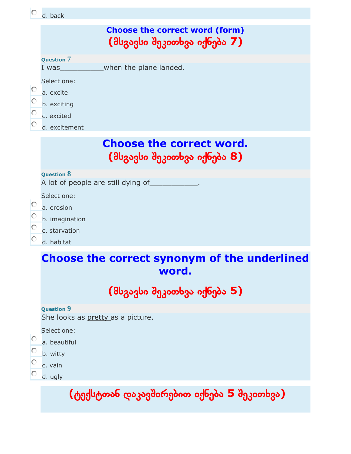| d. back |  |     |
|---------|--|-----|
|         |  |     |
|         |  | Cho |

### **cose the correct word (form) (**მსგავსი შეკითხვა იქნება **7)**

#### **Question 7**

I was when the plane landed.

Select one:

- O a. excite
- b. exciting
- O c. excited

О

d. excitement

### **Choose the correct word. (**მსგავსი შეკითხვა იქნება **8)**

#### **Question 8**

A lot of people are still dying of

Select one:

- O a. erosion
- O b. imagination
- O c. starvation
	- d. habitat

### **Choose the correct synonym of the underlined word.**

**(**მსგავსი შეკითხვა იქნება **5)**

#### **Question 9**

She looks as pretty as a picture.

Select one:

- a. beautiful
- 0. b. witty
- О c. vain
- О d. ugly

**(**ტექსტთან დაკავშირებით იქნება **5** შეკითხვა**)**

#### $\vert$ c